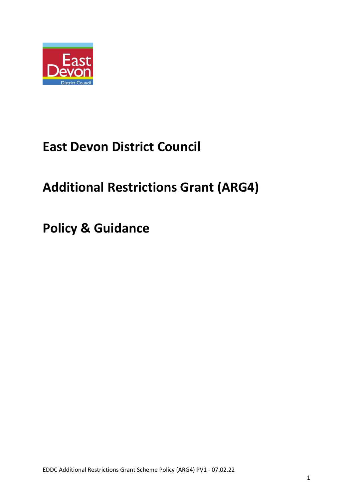

# **East Devon District Council**

# **Additional Restrictions Grant (ARG4)**

**Policy & Guidance**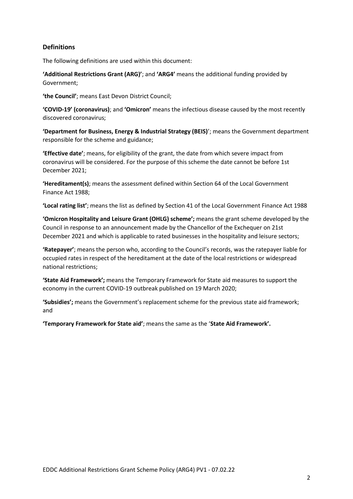# **Definitions**

The following definitions are used within this document:

**'Additional Restrictions Grant (ARG)'**; and **'ARG4'** means the additional funding provided by Government;

**'the Council'**; means East Devon District Council;

**'COVID-19' (coronavirus)**; and **'Omicron'** means the infectious disease caused by the most recently discovered coronavirus;

**'Department for Business, Energy & Industrial Strategy (BEIS)**'; means the Government department responsible for the scheme and guidance;

**'Effective date'**; means, for eligibility of the grant, the date from which severe impact from coronavirus will be considered. For the purpose of this scheme the date cannot be before 1st December 2021;

**'Hereditament(s)**; means the assessment defined within Section 64 of the Local Government Finance Act 1988;

**'Local rating list'**; means the list as defined by Section 41 of the Local Government Finance Act 1988

**'Omicron Hospitality and Leisure Grant (OHLG) scheme';** means the grant scheme developed by the Council in response to an announcement made by the Chancellor of the Exchequer on 21st December 2021 and which is applicable to rated businesses in the hospitality and leisure sectors;

**'Ratepayer'**; means the person who, according to the Council's records, was the ratepayer liable for occupied rates in respect of the hereditament at the date of the local restrictions or widespread national restrictions;

**'State Aid Framework';** means the Temporary Framework for State aid measures to support the economy in the current COVID-19 outbreak published on 19 March 2020;

**'Subsidies';** means the Government's replacement scheme for the previous state aid framework; and

**'Temporary Framework for State aid'**; means the same as the '**State Aid Framework'.**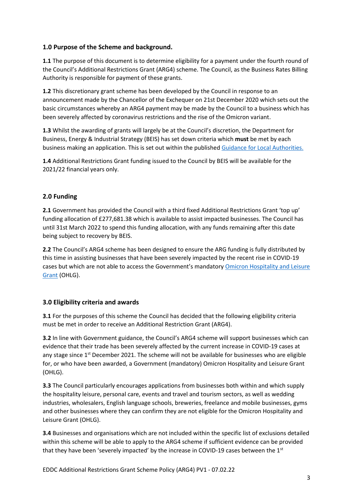# **1.0 Purpose of the Scheme and background.**

**1.1** The purpose of this document is to determine eligibility for a payment under the fourth round of the Council's Additional Restrictions Grant (ARG4) scheme. The Council, as the Business Rates Billing Authority is responsible for payment of these grants.

**1.2** This discretionary grant scheme has been developed by the Council in response to an announcement made by the Chancellor of the Exchequer on 21st December 2020 which sets out the basic circumstances whereby an ARG4 payment may be made by the Council to a business which has been severely affected by coronavirus restrictions and the rise of the Omicron variant.

**1.3** Whilst the awarding of grants will largely be at the Council's discretion, the Department for Business, Energy & Industrial Strategy (BEIS) has set down criteria which **must** be met by each business making an application. This is set out within the published Guidance for Local Authorities.

**1.4** Additional Restrictions Grant funding issued to the Council by BEIS will be available for the 2021/22 financial years only.

# **2.0 Funding**

**2.1** Government has provided the Council with a third fixed Additional Restrictions Grant 'top up' funding allocation of £277,681.38 which is available to assist impacted businesses. The Council has until 31st March 2022 to spend this funding allocation, with any funds remaining after this date being subject to recovery by BEIS.

**2.2** The Council's ARG4 scheme has been designed to ensure the ARG funding is fully distributed by this time in assisting businesses that have been severely impacted by the recent rise in COVID-19 cases but which are not able to access the Government's mandatory [Omicron Hospitality and Leisure](https://assets.publishing.service.gov.uk/government/uploads/system/uploads/attachment_data/file/1044354/omicron-hospitality-and-leisure-grant-guidance.pdf)  [Grant](https://assets.publishing.service.gov.uk/government/uploads/system/uploads/attachment_data/file/1044354/omicron-hospitality-and-leisure-grant-guidance.pdf) (OHLG).

# **3.0 Eligibility criteria and awards**

**3.1** For the purposes of this scheme the Council has decided that the following eligibility criteria must be met in order to receive an Additional Restriction Grant (ARG4).

**3.2** In line with Government guidance, the Council's ARG4 scheme will support businesses which can evidence that their trade has been severely affected by the current increase in COVID-19 cases at any stage since  $1<sup>st</sup>$  December 2021. The scheme will not be available for businesses who are eligible for, or who have been awarded, a Government (mandatory) Omicron Hospitality and Leisure Grant (OHLG).

**3.3** The Council particularly encourages applications from businesses both within and which supply the hospitality leisure, personal care, events and travel and tourism sectors, as well as wedding industries, wholesalers, English language schools, breweries, freelance and mobile businesses, gyms and other businesses where they can confirm they are not eligible for the Omicron Hospitality and Leisure Grant (OHLG).

**3.4** Businesses and organisations which are not included within the specific list of exclusions detailed within this scheme will be able to apply to the ARG4 scheme if sufficient evidence can be provided that they have been 'severely impacted' by the increase in COVID-19 cases between the  $1<sup>st</sup>$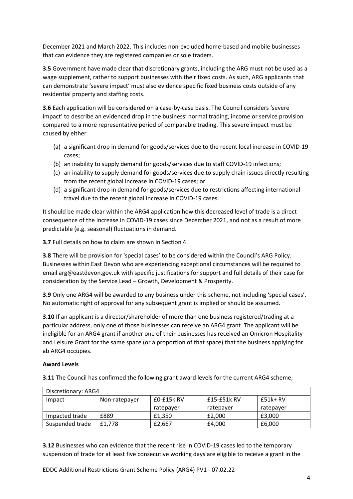December 2021 and March 2022. This includes non-excluded home-based and mobile businesses that can evidence they are registered companies or sole traders.

**3.5** Government have made clear that discretionary grants, including the ARG must not be used as a wage supplement, rather to support businesses with their fixed costs. As such, ARG applicants that can demonstrate 'severe impact' must also evidence specific fixed business costs outside of any residential property and staffing costs.

**3.6** Each application will be considered on a case-by-case basis. The Council considers 'severe impact' to describe an evidenced drop in the business' normal trading, income or service provision compared to a more representative period of comparable trading. This severe impact must be caused by either

- (a) a significant drop in demand for goods/services due to the recent local increase in COVID-19 cases;
- (b) an inability to supply demand for goods/services due to staff COVID-19 infections;
- (c) an inability to supply demand for goods/services due to supply chain issues directly resulting from the recent global increase in COVID-19 cases; or
- (d) a significant drop in demand for goods/services due to restrictions affecting international travel due to the recent global increase in COVID-19 cases.

It should be made clear within the ARG4 application how this decreased level of trade is a direct consequence of the increase in COVID-19 cases since December 2021, and not as a result of more predictable (e.g. seasonal) fluctuations in demand.

**3.7** Full details on how to claim are shown in Section 4.

**3.8** There will be provision for 'special cases' to be considered within the Council's ARG Policy. Businesses within East Devon who are experiencing exceptional circumstances will be required to email arg@eastdevon.gov.uk with specific justifications for support and full details of their case for consideration by the Service Lead – Growth, Development & Prosperity.

**3.9** Only one ARG4 will be awarded to any business under this scheme, not including 'special cases'. No automatic right of approval for any subsequent grant is implied or should be assumed.

**3.10** If an applicant is a director/shareholder of more than one business registered/trading at a particular address, only one of those businesses can receive an ARG4 grant. The applicant will be ineligible for an ARG4 grant if another one of their businesses has received an Omicron Hospitality and Leisure Grant for the same space (or a proportion of that space) that the business applying for ab ARG4 occupies.

## **Award Levels**

**3.11** The Council has confirmed the following grant award levels for the current ARG4 scheme;

| Discretionary: ARG4 |               |                |             |           |
|---------------------|---------------|----------------|-------------|-----------|
| Impact              | Non-ratepayer | $E0 - E15k RV$ | £15-£51k RV | $£51k+RV$ |
|                     |               | ratepaver      | ratepayer   | ratepaver |
| Impacted trade      | £889          | £1.350         | £2.000      | £3,000    |
| Suspended trade     | £1.778        | £2.667         | £4,000      | £6,000    |

**3.12** Businesses who can evidence that the recent rise in COVID-19 cases led to the temporary suspension of trade for at least five consecutive working days are eligible to receive a grant in the

EDDC Additional Restrictions Grant Scheme Policy (ARG4) PV1 - 07.02.22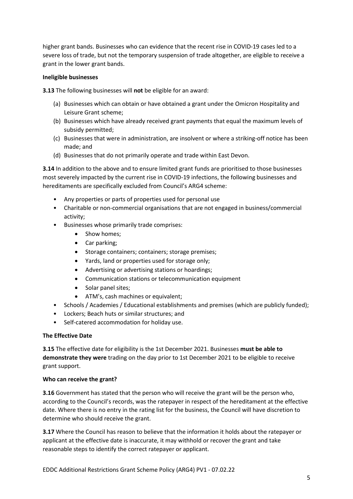higher grant bands. Businesses who can evidence that the recent rise in COVID-19 cases led to a severe loss of trade, but not the temporary suspension of trade altogether, are eligible to receive a grant in the lower grant bands.

#### **Ineligible businesses**

**3.13** The following businesses will **not** be eligible for an award:

- (a) Businesses which can obtain or have obtained a grant under the Omicron Hospitality and Leisure Grant scheme;
- (b) Businesses which have already received grant payments that equal the maximum levels of subsidy permitted;
- (c) Businesses that were in administration, are insolvent or where a striking-off notice has been made; and
- (d) Businesses that do not primarily operate and trade within East Devon.

**3.14** In addition to the above and to ensure limited grant funds are prioritised to those businesses most severely impacted by the current rise in COVID-19 infections, the following businesses and hereditaments are specifically excluded from Council's ARG4 scheme:

- Any properties or parts of properties used for personal use
- Charitable or non-commercial organisations that are not engaged in business/commercial activity;
- Businesses whose primarily trade comprises:
	- Show homes;
	- Car parking;
	- Storage containers; containers; storage premises;
	- Yards, land or properties used for storage only;
	- Advertising or advertising stations or hoardings;
	- Communication stations or telecommunication equipment
	- Solar panel sites;
	- ATM's, cash machines or equivalent;
- Schools / Academies / Educational establishments and premises (which are publicly funded);
- Lockers; Beach huts or similar structures; and
- Self-catered accommodation for holiday use.

#### **The Effective Date**

**3.15** The effective date for eligibility is the 1st December 2021. Businesses **must be able to demonstrate they were** trading on the day prior to 1st December 2021 to be eligible to receive grant support.

#### **Who can receive the grant?**

**3.16** Government has stated that the person who will receive the grant will be the person who, according to the Council's records, was the ratepayer in respect of the hereditament at the effective date. Where there is no entry in the rating list for the business, the Council will have discretion to determine who should receive the grant.

**3.17** Where the Council has reason to believe that the information it holds about the ratepayer or applicant at the effective date is inaccurate, it may withhold or recover the grant and take reasonable steps to identify the correct ratepayer or applicant.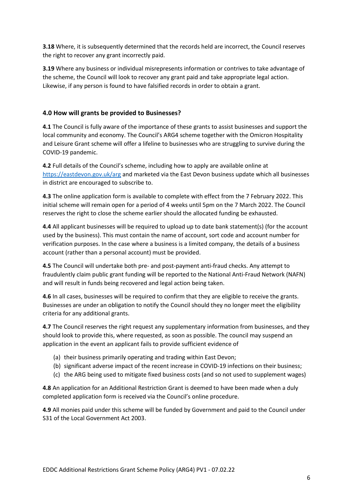**3.18** Where, it is subsequently determined that the records held are incorrect, the Council reserves the right to recover any grant incorrectly paid.

**3.19** Where any business or individual misrepresents information or contrives to take advantage of the scheme, the Council will look to recover any grant paid and take appropriate legal action. Likewise, if any person is found to have falsified records in order to obtain a grant.

# **4.0 How will grants be provided to Businesses?**

**4.1** The Council is fully aware of the importance of these grants to assist businesses and support the local community and economy. The Council's ARG4 scheme together with the Omicron Hospitality and Leisure Grant scheme will offer a lifeline to businesses who are struggling to survive during the COVID-19 pandemic.

**4.2** Full details of the Council's scheme, including how to apply are available online at <https://eastdevon.gov.uk/arg> and marketed via the East Devon business update which all businesses in district are encouraged to subscribe to.

**4.3** The online application form is available to complete with effect from the 7 February 2022. This initial scheme will remain open for a period of 4 weeks until 5pm on the 7 March 2022. The Council reserves the right to close the scheme earlier should the allocated funding be exhausted.

**4.4** All applicant businesses will be required to upload up to date bank statement(s) (for the account used by the business). This must contain the name of account, sort code and account number for verification purposes. In the case where a business is a limited company, the details of a business account (rather than a personal account) must be provided.

**4.5** The Council will undertake both pre- and post-payment anti-fraud checks. Any attempt to fraudulently claim public grant funding will be reported to the National Anti-Fraud Network (NAFN) and will result in funds being recovered and legal action being taken.

**4.6** In all cases, businesses will be required to confirm that they are eligible to receive the grants. Businesses are under an obligation to notify the Council should they no longer meet the eligibility criteria for any additional grants.

**4.7** The Council reserves the right request any supplementary information from businesses, and they should look to provide this, where requested, as soon as possible. The council may suspend an application in the event an applicant fails to provide sufficient evidence of

- (a) their business primarily operating and trading within East Devon;
- (b) significant adverse impact of the recent increase in COVID-19 infections on their business;
- (c) the ARG being used to mitigate fixed business costs (and so not used to supplement wages)

**4.8** An application for an Additional Restriction Grant is deemed to have been made when a duly completed application form is received via the Council's online procedure.

**4.9** All monies paid under this scheme will be funded by Government and paid to the Council under S31 of the Local Government Act 2003.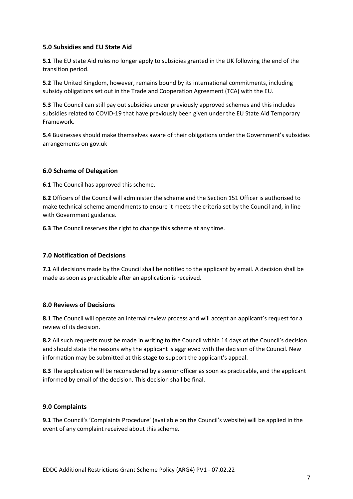## **5.0 Subsidies and EU State Aid**

**5.1** The EU state Aid rules no longer apply to subsidies granted in the UK following the end of the transition period.

**5.2** The United Kingdom, however, remains bound by its international commitments, including subsidy obligations set out in the Trade and Cooperation Agreement (TCA) with the EU.

**5.3** The Council can still pay out subsidies under previously approved schemes and this includes subsidies related to COVID-19 that have previously been given under the EU State Aid Temporary Framework.

**5.4** Businesses should make themselves aware of their obligations under the Government's subsidies arrangements on gov.uk

## **6.0 Scheme of Delegation**

**6.1** The Council has approved this scheme.

**6.2** Officers of the Council will administer the scheme and the Section 151 Officer is authorised to make technical scheme amendments to ensure it meets the criteria set by the Council and, in line with Government guidance.

**6.3** The Council reserves the right to change this scheme at any time.

## **7.0 Notification of Decisions**

**7.1** All decisions made by the Council shall be notified to the applicant by email. A decision shall be made as soon as practicable after an application is received.

## **8.0 Reviews of Decisions**

**8.1** The Council will operate an internal review process and will accept an applicant's request for a review of its decision.

**8.2** All such requests must be made in writing to the Council within 14 days of the Council's decision and should state the reasons why the applicant is aggrieved with the decision of the Council. New information may be submitted at this stage to support the applicant's appeal.

**8.3** The application will be reconsidered by a senior officer as soon as practicable, and the applicant informed by email of the decision. This decision shall be final.

## **9.0 Complaints**

**9.1** The Council's 'Complaints Procedure' (available on the Council's website) will be applied in the event of any complaint received about this scheme.